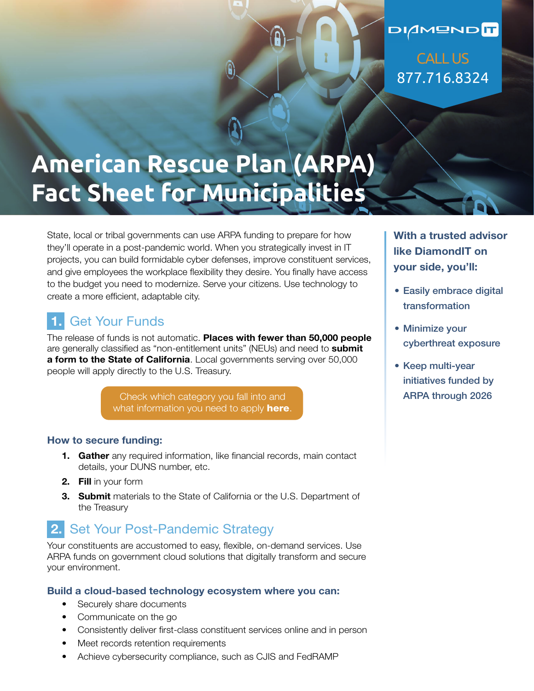## DIAMONDIT CALL US 877.716.8324

# **American Rescue Plan (ARPA) Fact Sheet for Municipalities**

State, local or tribal governments can use ARPA funding to prepare for how they'll operate in a post-pandemic world. When you strategically invest in IT projects, you can build formidable cyber defenses, improve constituent services, and give employees the workplace flexibility they desire. You finally have access to the budget you need to modernize. Serve your citizens. Use technology to create a more efficient, adaptable city.

### **1.** Get Your Funds

The release of funds is not automatic. **Places with fewer than 50,000 people** are generally classified as "non-entitlement units" (NEUs) and need to **submit a form to the State of California**. Local governments serving over 50,000 people will apply directly to the U.S. Treasury.

> [Check which category you fall into and](https://home.treasury.gov/policy-issues/coronavirus/assistance-for-state-local-and-tribal-governments/state-and-local-fiscal-recovery-fund/request-funding)  what information you need to apply **here**.

#### **How to secure funding:**

- **1. Gather** any required information, like financial records, main contact details, your DUNS number, etc.
- **2. Fill** in your form
- **3. Submit** materials to the State of California or the U.S. Department of the Treasury

### **2.** Set Your Post-Pandemic Strategy

Your constituents are accustomed to easy, flexible, on-demand services. Use ARPA funds on government cloud solutions that digitally transform and secure your environment.

#### **Build a cloud-based technology ecosystem where you can:**

- Securely share documents
- Communicate on the go
- Consistently deliver first-class constituent services online and in person
- Meet records retention requirements
- Achieve cybersecurity compliance, such as CJIS and FedRAMP

**With a trusted advisor like DiamondIT on your side, you'll:** 

- Easily embrace digital transformation
- Minimize your cyberthreat exposure
- Keep multi-year initiatives funded by ARPA through 2026